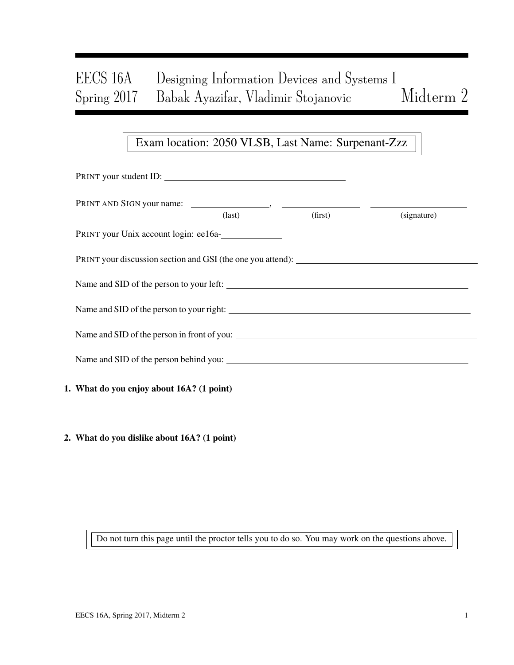# EECS 16A Designing Information Devices and Systems I Spring 2017 Babak Ayazifar, Vladimir Stojanovic Midterm 2

# Exam location: 2050 VLSB, Last Name: Surpenant-Zzz

| PRINT your student ID:                                                            |                 |         |             |  |
|-----------------------------------------------------------------------------------|-----------------|---------|-------------|--|
|                                                                                   | $\text{(last)}$ | (first) | (signature) |  |
| PRINT your Unix account login: ee16a-                                             |                 |         |             |  |
| PRINT your discussion section and GSI (the one you attend): _____________________ |                 |         |             |  |
|                                                                                   |                 |         |             |  |
|                                                                                   |                 |         |             |  |
| Name and SID of the person in front of you:                                       |                 |         |             |  |
|                                                                                   |                 |         |             |  |
| 1. What do you enjoy about 16A? (1 point)                                         |                 |         |             |  |
|                                                                                   |                 |         |             |  |

2. What do you dislike about 16A? (1 point)

Do not turn this page until the proctor tells you to do so. You may work on the questions above.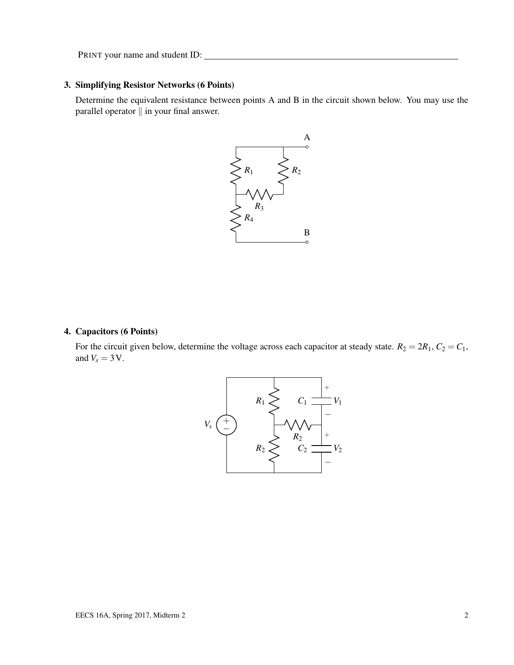## 3. Simplifying Resistor Networks (6 Points)

Determine the equivalent resistance between points A and B in the circuit shown below. You may use the parallel operator  $\parallel$  in your final answer.



## 4. Capacitors (6 Points)

For the circuit given below, determine the voltage across each capacitor at steady state.  $R_2 = 2R_1$ ,  $C_2 = C_1$ , and  $V_s = 3$  V.

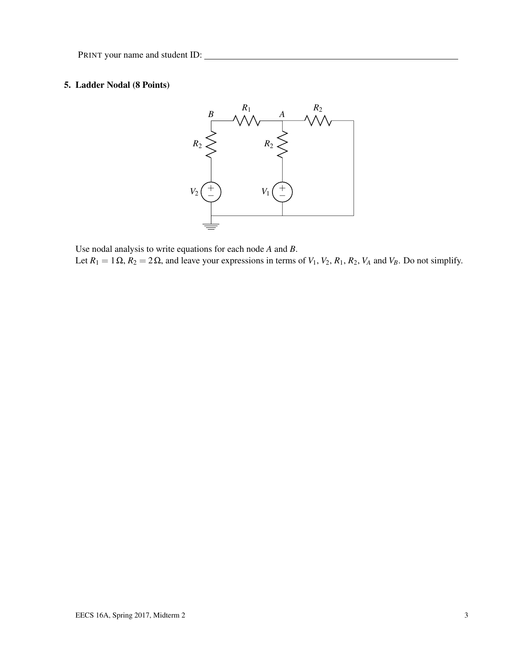# 5. Ladder Nodal (8 Points)



Use nodal analysis to write equations for each node *A* and *B*. Let  $R_1 = 1 \Omega$ ,  $R_2 = 2 \Omega$ , and leave your expressions in terms of  $V_1$ ,  $V_2$ ,  $R_1$ ,  $R_2$ ,  $V_A$  and  $V_B$ . Do not simplify.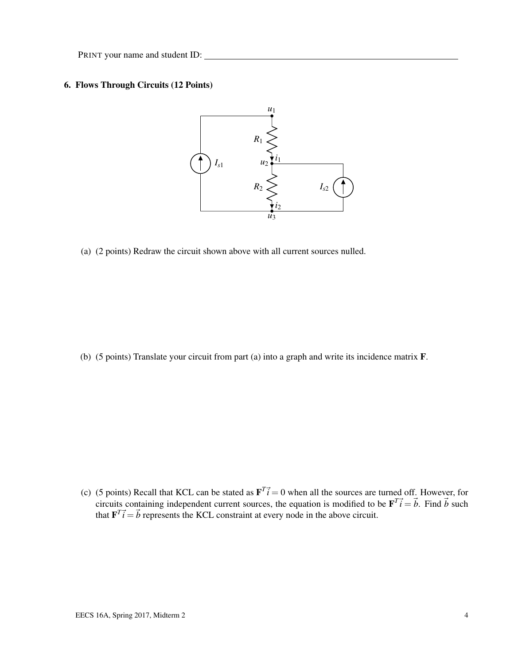# 6. Flows Through Circuits (12 Points)



(a) (2 points) Redraw the circuit shown above with all current sources nulled.

(b) (5 points) Translate your circuit from part (a) into a graph and write its incidence matrix F.

(c) (5 points) Recall that KCL can be stated as  $\mathbf{F}^T \vec{i} = 0$  when all the sources are turned off. However, for circuits containing independent current sources, the equation is modified to be  $\mathbf{F}^T \vec{i} = \vec{b}$ . Find  $\vec{b}$  such that  $\mathbf{F}^T \vec{i} = \vec{b}$  represents the KCL constraint at every node in the above circuit.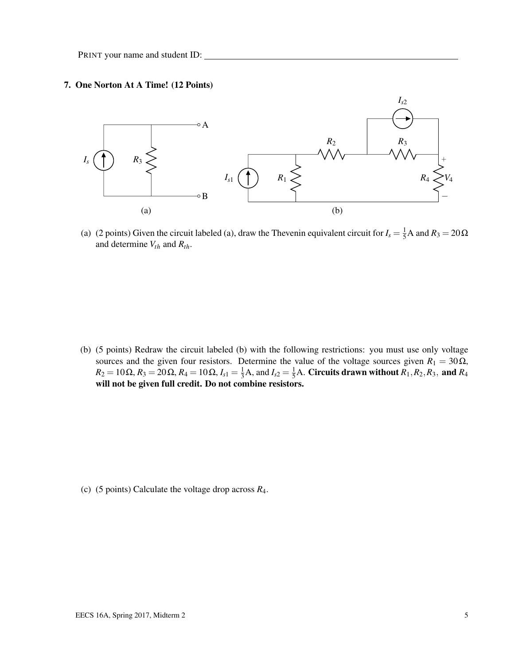#### 7. One Norton At A Time! (12 Points)



(a) (2 points) Given the circuit labeled (a), draw the Thevenin equivalent circuit for  $I_s = \frac{1}{5}A$  and  $R_3 = 20\Omega$ and determine *Vth* and *Rth*.

(b) (5 points) Redraw the circuit labeled (b) with the following restrictions: you must use only voltage sources and the given four resistors. Determine the value of the voltage sources given  $R_1 = 30\Omega$ , *R*<sub>2</sub> = 10Ω, *R*<sub>3</sub> = 20Ω, *R*<sub>4</sub> = 10Ω, *I*<sub>*s*1</sub> =  $\frac{1}{3}$ A, and *I*<sub>*s*2</sub> =  $\frac{1}{5}$ A. Circuits drawn without *R*<sub>1</sub>, *R*<sub>2</sub>, *R*<sub>3</sub>, and *R*<sub>4</sub> will not be given full credit. Do not combine resistors.

(c) (5 points) Calculate the voltage drop across *R*4.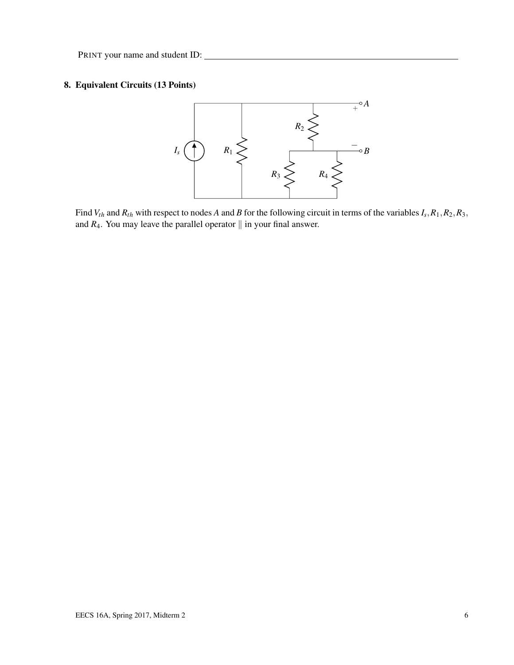# 8. Equivalent Circuits (13 Points)



Find  $V_{th}$  and  $R_{th}$  with respect to nodes A and B for the following circuit in terms of the variables  $I_s$ ,  $R_1$ ,  $R_2$ ,  $R_3$ , and  $R_4$ . You may leave the parallel operator  $\parallel$  in your final answer.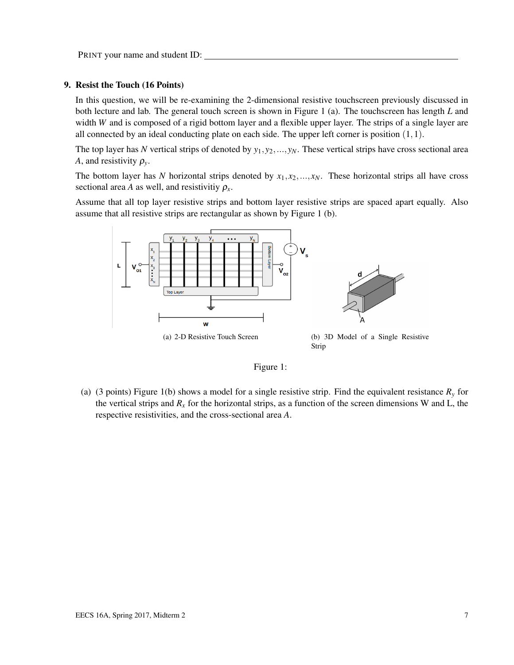#### 9. Resist the Touch (16 Points)

In this question, we will be re-examining the 2-dimensional resistive touchscreen previously discussed in both lecture and lab. The general touch screen is shown in Figure 1 (a). The touchscreen has length *L* and width *W* and is composed of a rigid bottom layer and a flexible upper layer. The strips of a single layer are all connected by an ideal conducting plate on each side. The upper left corner is position  $(1,1)$ .

The top layer has N vertical strips of denoted by  $y_1, y_2, ..., y_N$ . These vertical strips have cross sectional area *A*, and resistivity  $\rho_{y}$ .

The bottom layer has *N* horizontal strips denoted by  $x_1, x_2, ..., x_N$ . These horizontal strips all have cross sectional area *A* as well, and resistivitiy  $\rho_x$ .

Assume that all top layer resistive strips and bottom layer resistive strips are spaced apart equally. Also assume that all resistive strips are rectangular as shown by Figure 1 (b).





(a) (3 points) Figure 1(b) shows a model for a single resistive strip. Find the equivalent resistance *R<sup>y</sup>* for the vertical strips and  $R<sub>x</sub>$  for the horizontal strips, as a function of the screen dimensions W and L, the respective resistivities, and the cross-sectional area *A*.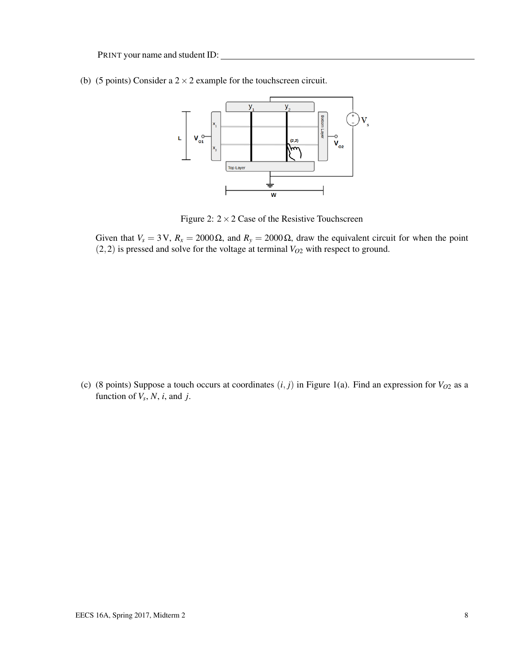(b) (5 points) Consider a  $2 \times 2$  example for the touchscreen circuit.



Figure 2:  $2 \times 2$  Case of the Resistive Touchscreen

Given that  $V_s = 3V$ ,  $R_x = 2000 \Omega$ , and  $R_y = 2000 \Omega$ , draw the equivalent circuit for when the point (2,2) is pressed and solve for the voltage at terminal *VO*<sup>2</sup> with respect to ground.

(c) (8 points) Suppose a touch occurs at coordinates  $(i, j)$  in Figure 1(a). Find an expression for  $V_{O2}$  as a function of  $V_s$ ,  $N$ ,  $i$ , and  $j$ .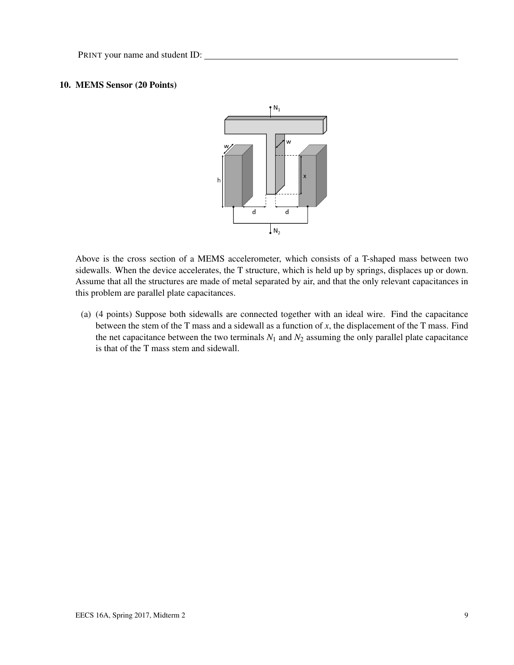## 10. MEMS Sensor (20 Points)



Above is the cross section of a MEMS accelerometer, which consists of a T-shaped mass between two sidewalls. When the device accelerates, the T structure, which is held up by springs, displaces up or down. Assume that all the structures are made of metal separated by air, and that the only relevant capacitances in this problem are parallel plate capacitances.

(a) (4 points) Suppose both sidewalls are connected together with an ideal wire. Find the capacitance between the stem of the T mass and a sidewall as a function of *x*, the displacement of the T mass. Find the net capacitance between the two terminals  $N_1$  and  $N_2$  assuming the only parallel plate capacitance is that of the T mass stem and sidewall.